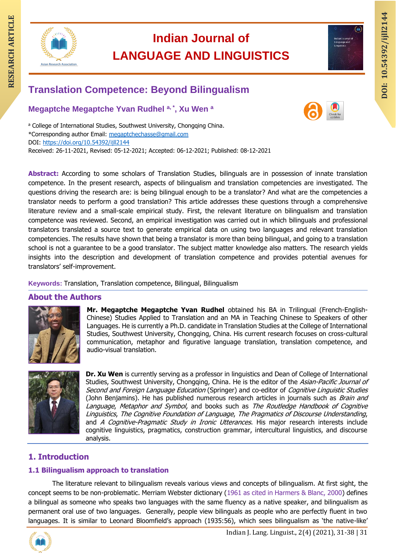

# **Indian Journal of LANGUAGE AND LINGUISTICS RESEARCH ARTICLE INCLUDED INCLUSTICS**<br> **RESEARCH ARTICLE AND LINGUISTICS**<br>
Translation Competence: Beyond Bilingualism<br>
Translation Competence: Beyond Bilingualism



## **Translation Competence: Beyond Bilingualism**

**Megaptche Megaptche Yvan Rudhel a, \* , Xu Wen <sup>a</sup>**



a College of International Studies, Southwest University, Chongqing China. \*Corresponding author Email: [megaptchechasse@gmail.com](mailto:megaptchechasse@gmail.com) DOI:<https://doi.org/10.54392/ijll2144> Received: 26-11-2021, Revised: 05-12-2021; Accepted: 06-12-2021; Published: 08-12-2021

**Abstract:** According to some scholars of Translation Studies, bilinguals are in possession of innate translation competence. In the present research, aspects of bilingualism and translation competencies are investigated. The questions driving the research are: is being bilingual enough to be a translator? And what are the competencies a translator needs to perform a good translation? This article addresses these questions through a comprehensive literature review and a small-scale empirical study. First, the relevant literature on bilingualism and translation competence was reviewed. Second, an empirical investigation was carried out in which bilinguals and professional translators translated a source text to generate empirical data on using two languages and relevant translation competencies. The results have shown that being a translator is more than being bilingual, and going to a translation school is not a guarantee to be a good translator. The subject matter knowledge also matters. The research yields insights into the description and development of translation competence and provides potential avenues for translators' self-improvement.

#### **Keywords:** Translation, Translation competence, Bilingual, Bilingualism

#### **About the Authors**



**Mr. Megaptche Megaptche Yvan Rudhel** obtained his BA in Trilingual (French-English-Chinese) Studies Applied to Translation and an MA in Teaching Chinese to Speakers of other Languages. He is currently a Ph.D. candidate in Translation Studies at the College of International Studies, Southwest University, Chongqing, China. His current research focuses on cross-cultural communication, metaphor and figurative language translation, translation competence, and audio-visual translation.



**Dr. Xu Wen** is currently serving as a professor in linguistics and Dean of College of International Studies, Southwest University, Chongqing, China. He is the editor of the Asian-Pacific Journal of Second and Foreign Language Education (Springer) and co-editor of Cognitive Linguistic Studies (John Benjamins). He has published numerous research articles in journals such as *Brain and* Language, Metaphor and Symbol, and books such as The Routledge Handbook of Cognitive Linguistics, The Cognitive Foundation of Language, The Pragmatics of Discourse Understanding, and A Cognitive-Pragmatic Study in Ironic Utterances. His major research interests include cognitive linguistics, pragmatics, construction grammar, intercultural linguistics, and discourse analysis.

### **1. Introduction**

#### **1.1 Bilingualism approach to translation**

The literature relevant to bilingualism reveals various views and concepts of bilingualism. At first sight, the concept seems to be non-problematic. Merriam Webster dictionary (1961 as cited in Harmers & Blanc, 2000) defines a bilingual as someone who speaks two languages with the same fluency as a native speaker, and bilingualism as permanent oral use of two languages. Generally, people view bilinguals as people who are perfectly fluent in two languages. It is similar to Leonard Bloomfield's approach (1935:56), which sees bilingualism as 'the native-like'

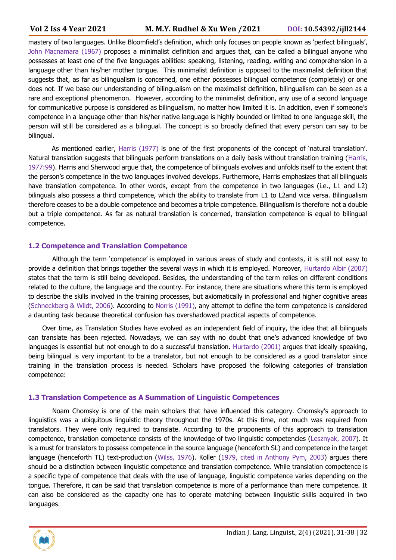mastery of two languages. Unlike Bloomfield's definition, which only focuses on people known as 'perfect bilinguals', John Macnamara (1967) proposes a minimalist definition and argues that, can be called a bilingual anyone who possesses at least one of the five languages abilities: speaking, listening, reading, writing and comprehension in a language other than his/her mother tongue. This minimalist definition is opposed to the maximalist definition that suggests that, as far as bilingualism is concerned, one either possesses bilingual competence (completely) or one does not. If we base our understanding of bilingualism on the maximalist definition, bilingualism can be seen as a rare and exceptional phenomenon. However, according to the minimalist definition, any use of a second language for communicative purpose is considered as bilingualism, no matter how limited it is. In addition, even if someone's competence in a language other than his/her native language is highly bounded or limited to one language skill, the person will still be considered as a bilingual. The concept is so broadly defined that every person can say to be bilingual.

As mentioned earlier, Harris (1977) is one of the first proponents of the concept of 'natural translation'. Natural translation suggests that bilinguals perform translations on a daily basis without translation training (Harris, 1977:99). Harris and Sherwood argue that, the competence of bilinguals evolves and unfolds itself to the extent that the person's competence in the two languages involved develops. Furthermore, Harris emphasizes that all bilinguals have translation competence. In other words, except from the competence in two languages (i.e., L1 and L2) bilinguals also possess a third competence, which the ability to translate from L1 to L2and vice versa. Bilingualism therefore ceases to be a double competence and becomes a triple competence. Bilingualism is therefore not a double but a triple competence. As far as natural translation is concerned, translation competence is equal to bilingual competence.

#### **1.2 Competence and Translation Competence**

Although the term 'competence' is employed in various areas of study and contexts, it is still not easy to provide a definition that brings together the several ways in which it is employed. Moreover, Hurtardo Albir (2007) states that the term is still being developed. Besides, the understanding of the term relies on different conditions related to the culture, the language and the country. For instance, there are situations where this term is employed to describe the skills involved in the training processes, but axiomatically in professional and higher cognitive areas (Schneckberg & Wildt, 2006). According to Norris (1991), any attempt to define the term competence is considered a daunting task because theoretical confusion has overshadowed practical aspects of competence.

Over time, as Translation Studies have evolved as an independent field of inquiry, the idea that all bilinguals can translate has been rejected. Nowadays, we can say with no doubt that one's advanced knowledge of two languages is essential but not enough to do a successful translation. Hurtardo (2001) argues that ideally speaking, being bilingual is very important to be a translator, but not enough to be considered as a good translator since training in the translation process is needed. Scholars have proposed the following categories of translation competence:

#### **1.3 Translation Competence as A Summation of Linguistic Competences**

Noam Chomsky is one of the main scholars that have influenced this category. Chomsky's approach to linguistics was a ubiquitous linguistic theory throughout the 1970s. At this time, not much was required from translators. They were only required to translate. According to the proponents of this approach to translation competence, translation competence consists of the knowledge of two linguistic competencies (Lesznyak, 2007). It is a must for translators to possess competence in the source language (henceforth SL) and competence in the target language (henceforth TL) text-production (Wilss, 1976). Koller (1979, cited in Anthony Pym, 2003) argues there should be a distinction between linguistic competence and translation competence. While translation competence is a specific type of competence that deals with the use of language, linguistic competence varies depending on the tongue. Therefore, it can be said that translation competence is more of a performance than mere competence. It can also be considered as the capacity one has to operate matching between linguistic skills acquired in two languages.

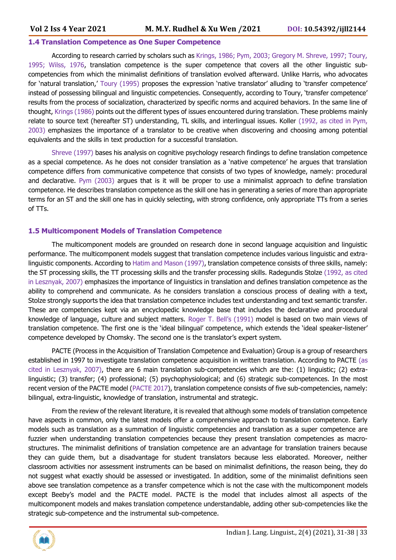#### **1.4 Translation Competence as One Super Competence**

According to research carried by scholars such as Krings, 1986; Pym, 2003; Gregory M. Shreve, 1997; Toury, 1995; Wilss, 1976, translation competence is the super competence that covers all the other linguistic subcompetencies from which the minimalist definitions of translation evolved afterward. Unlike Harris, who advocates for 'natural translation,' Toury (1995) proposes the expression 'native translator' alluding to 'transfer competence' instead of possessing bilingual and linguistic competencies. Consequently, according to Toury, 'transfer competence' results from the process of socialization, characterized by specific norms and acquired behaviors. In the same line of thought, Krings (1986) points out the different types of issues encountered during translation. These problems mainly relate to source text (hereafter ST) understanding, TL skills, and interlingual issues. Koller (1992, as cited in Pym, 2003) emphasizes the importance of a translator to be creative when discovering and choosing among potential equivalents and the skills in text production for a successful translation.

Shreve (1997) bases his analysis on cognitive psychology research findings to define translation competence as a special competence. As he does not consider translation as a 'native competence' he argues that translation competence differs from communicative competence that consists of two types of knowledge, namely: procedural and declarative. Pym (2003) argues that is it will be proper to use a minimalist approach to define translation competence. He describes translation competence as the skill one has in generating a series of more than appropriate terms for an ST and the skill one has in quickly selecting, with strong confidence, only appropriate TTs from a series of TTs.

#### **1.5 Multicomponent Models of Translation Competence**

The multicomponent models are grounded on research done in second language acquisition and linguistic performance. The multicomponent models suggest that translation competence includes various linguistic and extralinguistic components. According to Hatim and Mason (1997), translation competence consists of three skills, namely: the ST processing skills, the TT processing skills and the transfer processing skills. Radegundis Stolze (1992, as cited in Lesznyak, 2007) emphasizes the importance of linguistics in translation and defines translation competence as the ability to comprehend and communicate. As he considers translation a conscious process of dealing with a text, Stolze strongly supports the idea that translation competence includes text understanding and text semantic transfer. These are competencies kept via an encyclopedic knowledge base that includes the declarative and procedural knowledge of language, culture and subject matters. Roger T. Bell's (1991) model is based on two main views of translation competence. The first one is the 'ideal bilingual' competence, which extends the 'ideal speaker-listener' competence developed by Chomsky. The second one is the translator's expert system.

PACTE (Process in the Acquisition of Translation Competence and Evaluation) Group is a group of researchers established in 1997 to investigate translation competence acquisition in written translation. According to PACTE (as cited in Lesznyak, 2007), there are 6 main translation sub-competencies which are the: (1) linguistic; (2) extralinguistic; (3) transfer; (4) professional; (5) psychophysiological; and (6) strategic sub-competences. In the most recent version of the PACTE model (PACTE 2017), translation competence consists of five sub-competencies, namely: bilingual, extra-linguistic, knowledge of translation, instrumental and strategic.

From the review of the relevant literature, it is revealed that although some models of translation competence have aspects in common, only the latest models offer a comprehensive approach to translation competence. Early models such as translation as a summation of linguistic competencies and translation as a super competence are fuzzier when understanding translation competencies because they present translation competencies as macrostructures. The minimalist definitions of translation competence are an advantage for translation trainers because they can guide them, but a disadvantage for student translators because less elaborated. Moreover, neither classroom activities nor assessment instruments can be based on minimalist definitions, the reason being, they do not suggest what exactly should be assessed or investigated. In addition, some of the minimalist definitions seen above see translation competence as a transfer competence which is not the case with the multicomponent models except Beeby's model and the PACTE model. PACTE is the model that includes almost all aspects of the multicomponent models and makes translation competence understandable, adding other sub-competencies like the strategic sub-competence and the instrumental sub-competence.

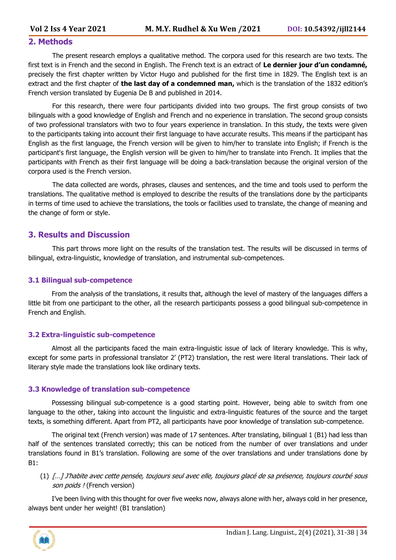#### **2. Methods**

The present research employs a qualitative method. The corpora used for this research are two texts. The first text is in French and the second in English. The French text is an extract of **Le dernier jour d'un condamné,** precisely the first chapter written by Victor Hugo and published for the first time in 1829. The English text is an extract and the first chapter of **the last day of a condemned man,** which is the translation of the 1832 edition's French version translated by Eugenia De B and published in 2014.

For this research, there were four participants divided into two groups. The first group consists of two bilinguals with a good knowledge of English and French and no experience in translation. The second group consists of two professional translators with two to four years experience in translation. In this study, the texts were given to the participants taking into account their first language to have accurate results. This means if the participant has English as the first language, the French version will be given to him/her to translate into English; if French is the participant's first language, the English version will be given to him/her to translate into French. It implies that the participants with French as their first language will be doing a back-translation because the original version of the corpora used is the French version.

The data collected are words, phrases, clauses and sentences, and the time and tools used to perform the translations. The qualitative method is employed to describe the results of the translations done by the participants in terms of time used to achieve the translations, the tools or facilities used to translate, the change of meaning and the change of form or style.

#### **3. Results and Discussion**

This part throws more light on the results of the translation test. The results will be discussed in terms of bilingual, extra-linguistic, knowledge of translation, and instrumental sub-competences.

#### **3.1 Bilingual sub-competence**

From the analysis of the translations, it results that, although the level of mastery of the languages differs a little bit from one participant to the other, all the research participants possess a good bilingual sub-competence in French and English.

#### **3.2 Extra-linguistic sub-competence**

Almost all the participants faced the main extra-linguistic issue of lack of literary knowledge. This is why, except for some parts in professional translator 2' (PT2) translation, the rest were literal translations. Their lack of literary style made the translations look like ordinary texts.

#### **3.3 Knowledge of translation sub-competence**

Possessing bilingual sub-competence is a good starting point. However, being able to switch from one language to the other, taking into account the linguistic and extra-linguistic features of the source and the target texts, is something different. Apart from PT2, all participants have poor knowledge of translation sub-competence.

The original text (French version) was made of 17 sentences. After translating, bilingual 1 (B1) had less than half of the sentences translated correctly; this can be noticed from the number of over translations and under translations found in B1's translation. Following are some of the over translations and under translations done by B1:

#### (1) […] J'habite avec cette pensée, toujours seul avec elle, toujours glacé de sa présence, toujours courbé sous son poids ! (French version)

I've been living with this thought for over five weeks now, always alone with her, always cold in her presence, always bent under her weight! (B1 translation)

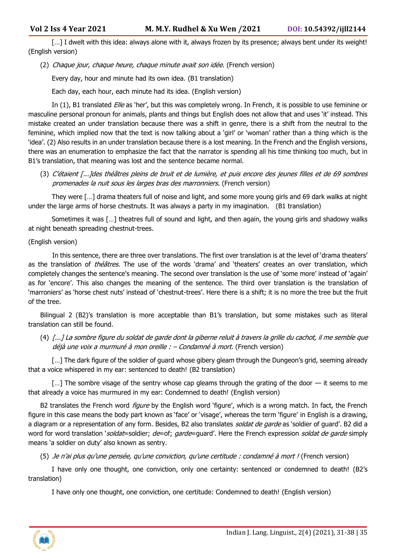[...] I dwelt with this idea: always alone with it, always frozen by its presence; always bent under its weight! (English version)

(2) Chaque jour, chaque heure, chaque minute avait son idée. (French version)

Every day, hour and minute had its own idea. (B1 translation)

Each day, each hour, each minute had its idea. (English version)

In (1), B1 translated Elle as 'her', but this was completely wrong. In French, it is possible to use feminine or masculine personal pronoun for animals, plants and things but English does not allow that and uses 'it' instead. This mistake created an under translation because there was a shift in genre, there is a shift from the neutral to the feminine, which implied now that the text is now talking about a 'girl' or 'woman' rather than a thing which is the 'idea'. (2) Also results in an under translation because there is a lost meaning. In the French and the English versions, there was an enumeration to emphasize the fact that the narrator is spending all his time thinking too much, but in B1's translation, that meaning was lost and the sentence became normal.

(3) C'étaient [...]des théâtres pleins de bruit et de lumière, et puis encore des jeunes filles et de 69 sombres promenades la nuit sous les larges bras des marronniers. (French version)

They were […] drama theaters full of noise and light, and some more young girls and 69 dark walks at night under the large arms of horse chestnuts. It was always a party in my imagination. (B1 translation)

Sometimes it was […] theatres full of sound and light, and then again, the young girls and shadowy walks at night beneath spreading chestnut-trees.

#### (English version)

In this sentence, there are three over translations. The first over translation is at the level of 'drama theaters' as the translation of *théâtres*. The use of the words 'drama' and 'theaters' creates an over translation, which completely changes the sentence's meaning. The second over translation is the use of 'some more' instead of 'again' as for 'encore'. This also changes the meaning of the sentence. The third over translation is the translation of 'marroniers' as 'horse chest nuts' instead of 'chestnut-trees'. Here there is a shift; it is no more the tree but the fruit of the tree.

Bilingual 2 (B2)'s translation is more acceptable than B1's translation, but some mistakes such as literal translation can still be found.

(4) [...] La sombre figure du soldat de garde dont la giberne reluit à travers la grille du cachot, il me semble que déjà une voix a murmuré à mon oreille : – Condamné à mort. (French version)

[...] The dark figure of the soldier of guard whose gibery gleam through the Dungeon's grid, seeming already that a voice whispered in my ear: sentenced to death! (B2 translation)

[...] The sombre visage of the sentry whose cap gleams through the grating of the door — it seems to me that already a voice has murmured in my ear: Condemned to death! (English version)

B2 translates the French word *figure* by the English word 'figure', which is a wrong match. In fact, the French figure in this case means the body part known as 'face' or 'visage', whereas the term 'figure' in English is a drawing, a diagram or a representation of any form. Besides, B2 also translates soldat de garde as 'soldier of guard'. B2 did a word for word translation 'soldat=soldier; de=of; garde=guard'. Here the French expression soldat de garde simply means 'a soldier on duty' also known as sentry.

(5) Je n'ai plus qu'une pensée, qu'une conviction, qu'une certitude : condamné à mort ! (French version)

I have only one thought, one conviction, only one certainty: sentenced or condemned to death! (B2's translation)

I have only one thought, one conviction, one certitude: Condemned to death! (English version)

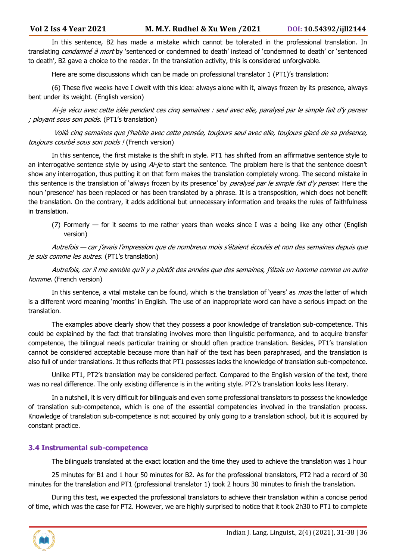In this sentence, B2 has made a mistake which cannot be tolerated in the professional translation. In translating *condamné à mort* by 'sentenced or condemned to death' instead of 'condemned to death' or 'sentenced to death', B2 gave a choice to the reader. In the translation activity, this is considered unforgivable.

Here are some discussions which can be made on professional translator 1 (PT1)'s translation:

(6) These five weeks have I dwelt with this idea: always alone with it, always frozen by its presence, always bent under its weight. (English version)

 Ai-je vécu avec cette idée pendant ces cinq semaines : seul avec elle, paralysé par le simple fait d'y penser ; ployant sous son poids. (PT1's translation)

Voilà cinq semaines que j'habite avec cette pensée, toujours seul avec elle, toujours glacé de sa présence, toujours courbé sous son poids ! (French version)

In this sentence, the first mistake is the shift in style. PT1 has shifted from an affirmative sentence style to an interrogative sentence style by using Ai-je to start the sentence. The problem here is that the sentence doesn't show any interrogation, thus putting it on that form makes the translation completely wrong. The second mistake in this sentence is the translation of 'always frozen by its presence' by paralysé par le simple fait d'y penser. Here the noun 'presence' has been replaced or has been translated by a phrase. It is a transposition, which does not benefit the translation. On the contrary, it adds additional but unnecessary information and breaks the rules of faithfulness in translation.

(7) Formerly — for it seems to me rather years than weeks since I was a being like any other (English version)

Autrefois — car j'avais l'impression que de nombreux mois s'étaient écoulés et non des semaines depuis que je suis comme les autres. (PT1's translation)

Autrefois, car il me semble qu'il y a plutôt des années que des semaines, j'étais un homme comme un autre homme. (French version)

In this sentence, a vital mistake can be found, which is the translation of 'years' as *mois* the latter of which is a different word meaning 'months' in English. The use of an inappropriate word can have a serious impact on the translation.

The examples above clearly show that they possess a poor knowledge of translation sub-competence. This could be explained by the fact that translating involves more than linguistic performance, and to acquire transfer competence, the bilingual needs particular training or should often practice translation. Besides, PT1's translation cannot be considered acceptable because more than half of the text has been paraphrased, and the translation is also full of under translations. It thus reflects that PT1 possesses lacks the knowledge of translation sub-competence.

Unlike PT1, PT2's translation may be considered perfect. Compared to the English version of the text, there was no real difference. The only existing difference is in the writing style. PT2's translation looks less literary.

In a nutshell, it is very difficult for bilinguals and even some professional translators to possess the knowledge of translation sub-competence, which is one of the essential competencies involved in the translation process. Knowledge of translation sub-competence is not acquired by only going to a translation school, but it is acquired by constant practice.

#### **3.4 Instrumental sub-competence**

The bilinguals translated at the exact location and the time they used to achieve the translation was 1 hour

25 minutes for B1 and 1 hour 50 minutes for B2. As for the professional translators, PT2 had a record of 30 minutes for the translation and PT1 (professional translator 1) took 2 hours 30 minutes to finish the translation.

During this test, we expected the professional translators to achieve their translation within a concise period of time, which was the case for PT2. However, we are highly surprised to notice that it took 2h30 to PT1 to complete

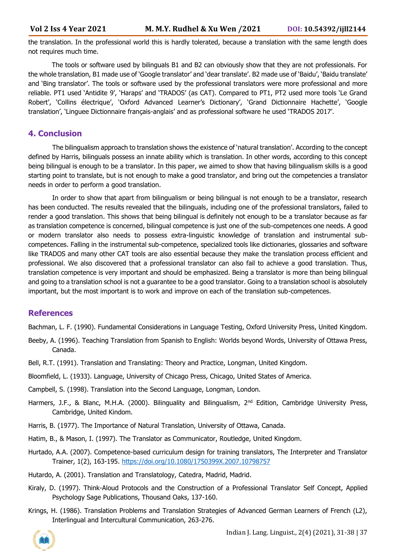the translation. In the professional world this is hardly tolerated, because a translation with the same length does not requires much time.

The tools or software used by bilinguals B1 and B2 can obviously show that they are not professionals. For the whole translation, B1 made use of 'Google translator' and 'dear translate'. B2 made use of 'Baidu', 'Baidu translate' and 'Bing translator'. The tools or software used by the professional translators were more professional and more reliable. PT1 used 'Antidite 9', 'Haraps' and 'TRADOS' (as CAT). Compared to PT1, PT2 used more tools 'Le Grand Robert', 'Collins électrique', 'Oxford Advanced Learner's Dictionary', 'Grand Dictionnaire Hachette', 'Google translation', 'Linguee Dictionnaire français-anglais' and as professional software he used 'TRADOS 2017'.

#### **4. Conclusion**

The bilingualism approach to translation shows the existence of 'natural translation'. According to the concept defined by Harris, bilinguals possess an innate ability which is translation. In other words, according to this concept being bilingual is enough to be a translator. In this paper, we aimed to show that having bilingualism skills is a good starting point to translate, but is not enough to make a good translator, and bring out the competencies a translator needs in order to perform a good translation.

In order to show that apart from bilingualism or being bilingual is not enough to be a translator, research has been conducted. The results revealed that the bilinguals, including one of the professional translators, failed to render a good translation. This shows that being bilingual is definitely not enough to be a translator because as far as translation competence is concerned, bilingual competence is just one of the sub-competences one needs. A good or modern translator also needs to possess extra-linguistic knowledge of translation and instrumental subcompetences. Falling in the instrumental sub-competence, specialized tools like dictionaries, glossaries and software like TRADOS and many other CAT tools are also essential because they make the translation process efficient and professional. We also discovered that a professional translator can also fail to achieve a good translation. Thus, translation competence is very important and should be emphasized. Being a translator is more than being bilingual and going to a translation school is not a guarantee to be a good translator. Going to a translation school is absolutely important, but the most important is to work and improve on each of the translation sub-competences.

#### **References**

Bachman, L. F. (1990). Fundamental Considerations in Language Testing, Oxford University Press, United Kingdom.

- Beeby, A. (1996). Teaching Translation from Spanish to English: Worlds beyond Words, University of Ottawa Press, Canada.
- Bell, R.T. (1991). Translation and Translating: Theory and Practice, Longman, United Kingdom.
- Bloomfield, L. (1933). Language, University of Chicago Press, Chicago, United States of America.
- Campbell, S. (1998). Translation into the Second Language, Longman, London.
- Harmers, J.F., & Blanc, M.H.A. (2000). Bilinguality and Bilingualism, 2<sup>nd</sup> Edition, Cambridge University Press, Cambridge, United Kindom.
- Harris, B. (1977). The Importance of Natural Translation, University of Ottawa, Canada.
- Hatim, B., & Mason, I. (1997). The Translator as Communicator, Routledge, United Kingdom.
- Hurtado, A.A. (2007). Competence-based curriculum design for training translators, The Interpreter and Translator Trainer, 1(2), 163-195.<https://doi.org/10.1080/1750399X.2007.10798757>
- Hutardo, A. (2001). Translation and Translatology, Catedra, Madrid, Madrid.
- Kiraly, D. (1997). Think-Aloud Protocols and the Construction of a Professional Translator Self Concept, Applied Psychology Sage Publications, Thousand Oaks, 137-160.
- Krings, H. (1986). Translation Problems and Translation Strategies of Advanced German Learners of French (L2), Interlingual and Intercultural Communication, 263-276.